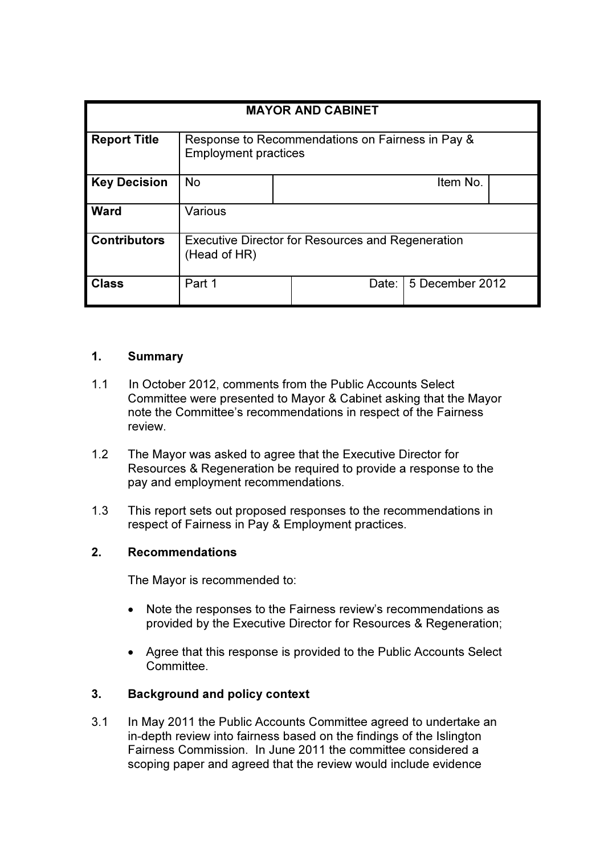| <b>MAYOR AND CABINET</b> |                                                                                 |       |                 |
|--------------------------|---------------------------------------------------------------------------------|-------|-----------------|
| <b>Report Title</b>      | Response to Recommendations on Fairness in Pay &<br><b>Employment practices</b> |       |                 |
| <b>Key Decision</b>      | <b>No</b>                                                                       |       | Item No.        |
| <b>Ward</b>              | Various                                                                         |       |                 |
| <b>Contributors</b>      | <b>Executive Director for Resources and Regeneration</b><br>(Head of HR)        |       |                 |
| Class                    | Part 1                                                                          | Date: | 5 December 2012 |

# 1. Summary

- 1.1 In October 2012, comments from the Public Accounts Select Committee were presented to Mayor & Cabinet asking that the Mayor note the Committee's recommendations in respect of the Fairness review.
- 1.2 The Mayor was asked to agree that the Executive Director for Resources & Regeneration be required to provide a response to the pay and employment recommendations.
- 1.3 This report sets out proposed responses to the recommendations in respect of Fairness in Pay & Employment practices.

### 2. Recommendations

The Mayor is recommended to:

- Note the responses to the Fairness review's recommendations as provided by the Executive Director for Resources & Regeneration;
- Agree that this response is provided to the Public Accounts Select Committee.

# 3. Background and policy context

3.1 In May 2011 the Public Accounts Committee agreed to undertake an in-depth review into fairness based on the findings of the Islington Fairness Commission. In June 2011 the committee considered a scoping paper and agreed that the review would include evidence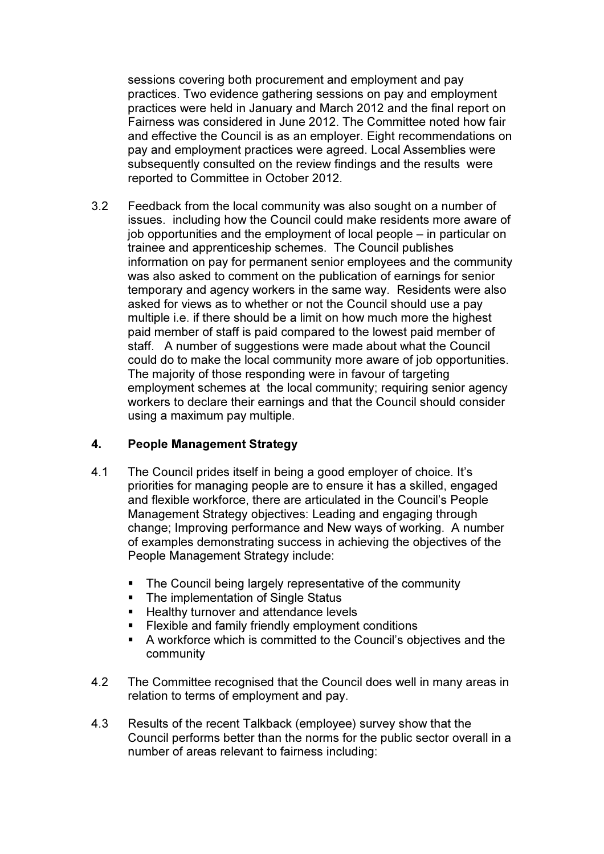sessions covering both procurement and employment and pay practices. Two evidence gathering sessions on pay and employment practices were held in January and March 2012 and the final report on Fairness was considered in June 2012. The Committee noted how fair and effective the Council is as an employer. Eight recommendations on pay and employment practices were agreed. Local Assemblies were subsequently consulted on the review findings and the results were reported to Committee in October 2012.

3.2 Feedback from the local community was also sought on a number of issues. including how the Council could make residents more aware of job opportunities and the employment of local people – in particular on trainee and apprenticeship schemes. The Council publishes information on pay for permanent senior employees and the community was also asked to comment on the publication of earnings for senior temporary and agency workers in the same way. Residents were also asked for views as to whether or not the Council should use a pay multiple i.e. if there should be a limit on how much more the highest paid member of staff is paid compared to the lowest paid member of staff. A number of suggestions were made about what the Council could do to make the local community more aware of job opportunities. The majority of those responding were in favour of targeting employment schemes at the local community; requiring senior agency workers to declare their earnings and that the Council should consider using a maximum pay multiple.

# 4. People Management Strategy

- 4.1 The Council prides itself in being a good employer of choice. It's priorities for managing people are to ensure it has a skilled, engaged and flexible workforce, there are articulated in the Council's People Management Strategy objectives: Leading and engaging through change; Improving performance and New ways of working. A number of examples demonstrating success in achieving the objectives of the People Management Strategy include:
	- The Council being largely representative of the community
	- The implementation of Single Status
	- **Healthy turnover and attendance levels**
	- **Flexible and family friendly employment conditions**
	- A workforce which is committed to the Council's objectives and the community
- 4.2 The Committee recognised that the Council does well in many areas in relation to terms of employment and pay.
- 4.3 Results of the recent Talkback (employee) survey show that the Council performs better than the norms for the public sector overall in a number of areas relevant to fairness including: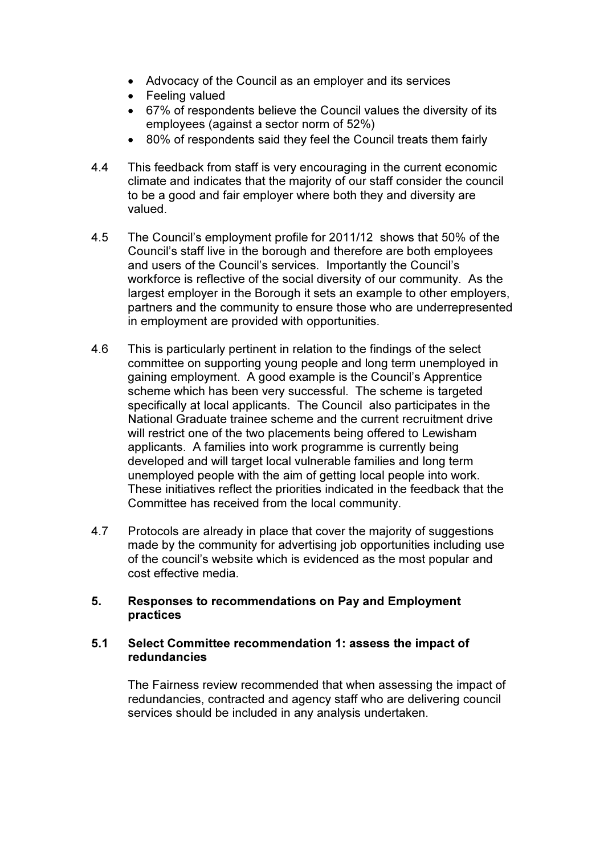- Advocacy of the Council as an employer and its services
- Feeling valued
- 67% of respondents believe the Council values the diversity of its employees (against a sector norm of 52%)
- 80% of respondents said they feel the Council treats them fairly
- 4.4 This feedback from staff is very encouraging in the current economic climate and indicates that the majority of our staff consider the council to be a good and fair employer where both they and diversity are valued.
- 4.5 The Council's employment profile for 2011/12 shows that 50% of the Council's staff live in the borough and therefore are both employees and users of the Council's services. Importantly the Council's workforce is reflective of the social diversity of our community. As the largest employer in the Borough it sets an example to other employers, partners and the community to ensure those who are underrepresented in employment are provided with opportunities.
- 4.6 This is particularly pertinent in relation to the findings of the select committee on supporting young people and long term unemployed in gaining employment. A good example is the Council's Apprentice scheme which has been very successful. The scheme is targeted specifically at local applicants. The Council also participates in the National Graduate trainee scheme and the current recruitment drive will restrict one of the two placements being offered to Lewisham applicants. A families into work programme is currently being developed and will target local vulnerable families and long term unemployed people with the aim of getting local people into work. These initiatives reflect the priorities indicated in the feedback that the Committee has received from the local community.
- 4.7 Protocols are already in place that cover the majority of suggestions made by the community for advertising job opportunities including use of the council's website which is evidenced as the most popular and cost effective media.

### 5. Responses to recommendations on Pay and Employment practices

### 5.1 Select Committee recommendation 1: assess the impact of redundancies

The Fairness review recommended that when assessing the impact of redundancies, contracted and agency staff who are delivering council services should be included in any analysis undertaken.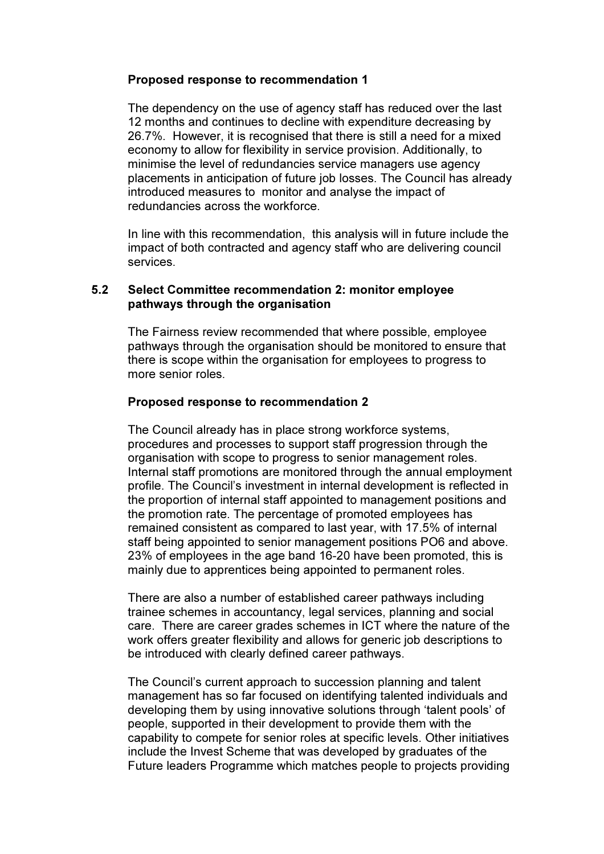### Proposed response to recommendation 1

The dependency on the use of agency staff has reduced over the last 12 months and continues to decline with expenditure decreasing by 26.7%. However, it is recognised that there is still a need for a mixed economy to allow for flexibility in service provision. Additionally, to minimise the level of redundancies service managers use agency placements in anticipation of future job losses. The Council has already introduced measures to monitor and analyse the impact of redundancies across the workforce.

In line with this recommendation, this analysis will in future include the impact of both contracted and agency staff who are delivering council services.

### 5.2 Select Committee recommendation 2: monitor employee pathways through the organisation

The Fairness review recommended that where possible, employee pathways through the organisation should be monitored to ensure that there is scope within the organisation for employees to progress to more senior roles.

#### Proposed response to recommendation 2

The Council already has in place strong workforce systems, procedures and processes to support staff progression through the organisation with scope to progress to senior management roles. Internal staff promotions are monitored through the annual employment profile. The Council's investment in internal development is reflected in the proportion of internal staff appointed to management positions and the promotion rate. The percentage of promoted employees has remained consistent as compared to last year, with 17.5% of internal staff being appointed to senior management positions PO6 and above. 23% of employees in the age band 16-20 have been promoted, this is mainly due to apprentices being appointed to permanent roles.

There are also a number of established career pathways including trainee schemes in accountancy, legal services, planning and social care. There are career grades schemes in ICT where the nature of the work offers greater flexibility and allows for generic job descriptions to be introduced with clearly defined career pathways.

The Council's current approach to succession planning and talent management has so far focused on identifying talented individuals and developing them by using innovative solutions through 'talent pools' of people, supported in their development to provide them with the capability to compete for senior roles at specific levels. Other initiatives include the Invest Scheme that was developed by graduates of the Future leaders Programme which matches people to projects providing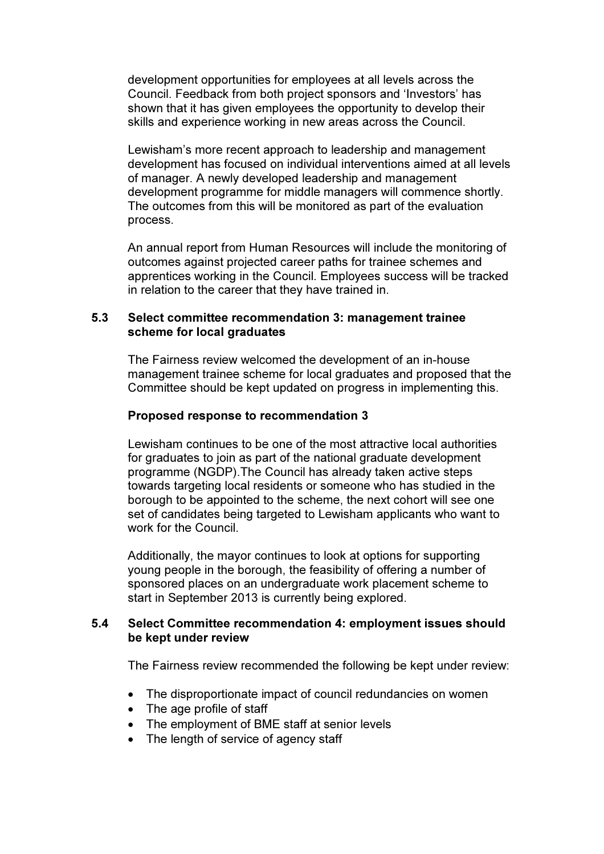development opportunities for employees at all levels across the Council. Feedback from both project sponsors and 'Investors' has shown that it has given employees the opportunity to develop their skills and experience working in new areas across the Council.

Lewisham's more recent approach to leadership and management development has focused on individual interventions aimed at all levels of manager. A newly developed leadership and management development programme for middle managers will commence shortly. The outcomes from this will be monitored as part of the evaluation process.

An annual report from Human Resources will include the monitoring of outcomes against projected career paths for trainee schemes and apprentices working in the Council. Employees success will be tracked in relation to the career that they have trained in.

### 5.3 Select committee recommendation 3: management trainee scheme for local graduates

The Fairness review welcomed the development of an in-house management trainee scheme for local graduates and proposed that the Committee should be kept updated on progress in implementing this.

### Proposed response to recommendation 3

Lewisham continues to be one of the most attractive local authorities for graduates to join as part of the national graduate development programme (NGDP).The Council has already taken active steps towards targeting local residents or someone who has studied in the borough to be appointed to the scheme, the next cohort will see one set of candidates being targeted to Lewisham applicants who want to work for the Council.

Additionally, the mayor continues to look at options for supporting young people in the borough, the feasibility of offering a number of sponsored places on an undergraduate work placement scheme to start in September 2013 is currently being explored.

### 5.4 Select Committee recommendation 4: employment issues should be kept under review

The Fairness review recommended the following be kept under review:

- The disproportionate impact of council redundancies on women
- The age profile of staff
- The employment of BME staff at senior levels
- The length of service of agency staff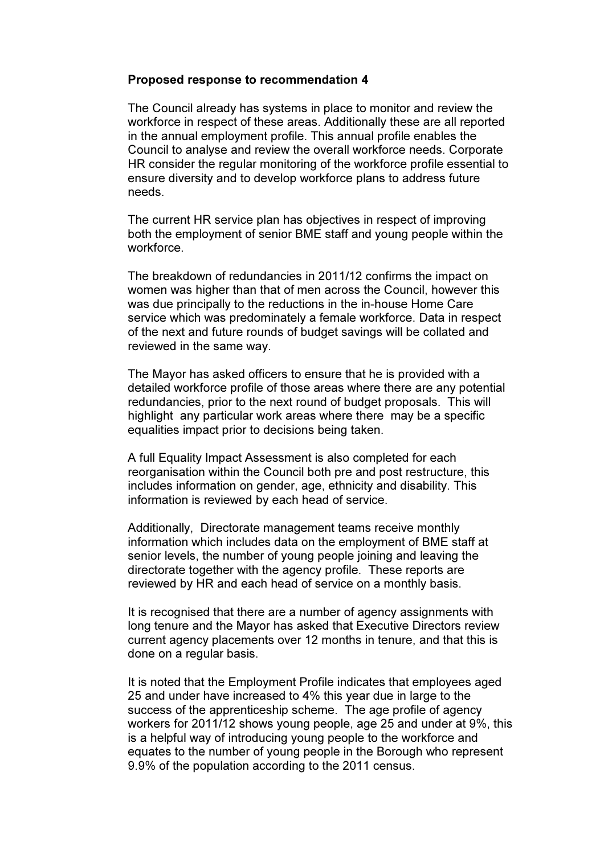#### Proposed response to recommendation 4

The Council already has systems in place to monitor and review the workforce in respect of these areas. Additionally these are all reported in the annual employment profile. This annual profile enables the Council to analyse and review the overall workforce needs. Corporate HR consider the regular monitoring of the workforce profile essential to ensure diversity and to develop workforce plans to address future needs.

The current HR service plan has objectives in respect of improving both the employment of senior BME staff and young people within the workforce.

The breakdown of redundancies in 2011/12 confirms the impact on women was higher than that of men across the Council, however this was due principally to the reductions in the in-house Home Care service which was predominately a female workforce. Data in respect of the next and future rounds of budget savings will be collated and reviewed in the same way.

The Mayor has asked officers to ensure that he is provided with a detailed workforce profile of those areas where there are any potential redundancies, prior to the next round of budget proposals. This will highlight any particular work areas where there may be a specific equalities impact prior to decisions being taken.

A full Equality Impact Assessment is also completed for each reorganisation within the Council both pre and post restructure, this includes information on gender, age, ethnicity and disability. This information is reviewed by each head of service.

Additionally, Directorate management teams receive monthly information which includes data on the employment of BME staff at senior levels, the number of young people joining and leaving the directorate together with the agency profile. These reports are reviewed by HR and each head of service on a monthly basis.

It is recognised that there are a number of agency assignments with long tenure and the Mayor has asked that Executive Directors review current agency placements over 12 months in tenure, and that this is done on a regular basis.

It is noted that the Employment Profile indicates that employees aged 25 and under have increased to 4% this year due in large to the success of the apprenticeship scheme. The age profile of agency workers for 2011/12 shows young people, age 25 and under at 9%, this is a helpful way of introducing young people to the workforce and equates to the number of young people in the Borough who represent 9.9% of the population according to the 2011 census.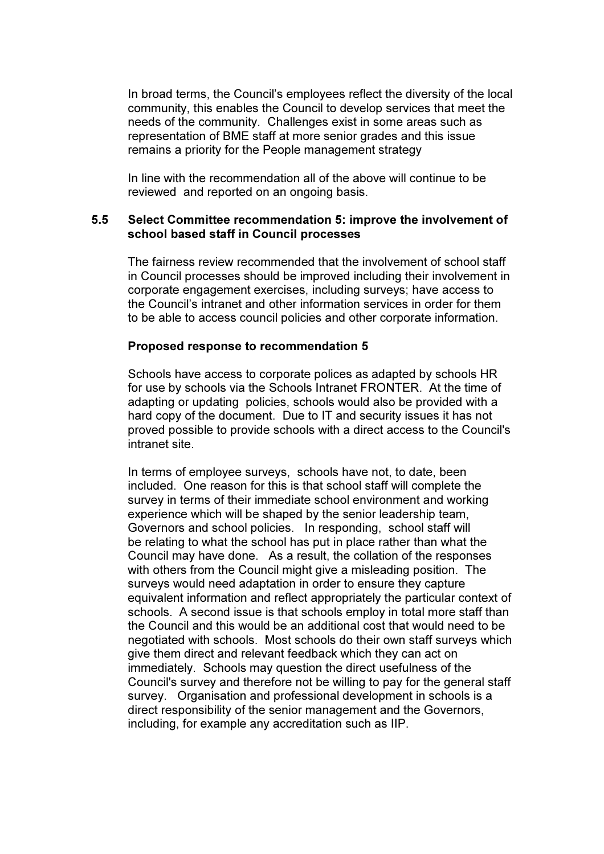In broad terms, the Council's employees reflect the diversity of the local community, this enables the Council to develop services that meet the needs of the community. Challenges exist in some areas such as representation of BME staff at more senior grades and this issue remains a priority for the People management strategy

In line with the recommendation all of the above will continue to be reviewed and reported on an ongoing basis.

#### 5.5 Select Committee recommendation 5: improve the involvement of school based staff in Council processes

The fairness review recommended that the involvement of school staff in Council processes should be improved including their involvement in corporate engagement exercises, including surveys; have access to the Council's intranet and other information services in order for them to be able to access council policies and other corporate information.

#### Proposed response to recommendation 5

Schools have access to corporate polices as adapted by schools HR for use by schools via the Schools Intranet FRONTER. At the time of adapting or updating policies, schools would also be provided with a hard copy of the document. Due to IT and security issues it has not proved possible to provide schools with a direct access to the Council's intranet site.

In terms of employee surveys, schools have not, to date, been included. One reason for this is that school staff will complete the survey in terms of their immediate school environment and working experience which will be shaped by the senior leadership team, Governors and school policies. In responding, school staff will be relating to what the school has put in place rather than what the Council may have done. As a result, the collation of the responses with others from the Council might give a misleading position. The surveys would need adaptation in order to ensure they capture equivalent information and reflect appropriately the particular context of schools. A second issue is that schools employ in total more staff than the Council and this would be an additional cost that would need to be negotiated with schools. Most schools do their own staff surveys which give them direct and relevant feedback which they can act on immediately. Schools may question the direct usefulness of the Council's survey and therefore not be willing to pay for the general staff survey. Organisation and professional development in schools is a direct responsibility of the senior management and the Governors, including, for example any accreditation such as IIP.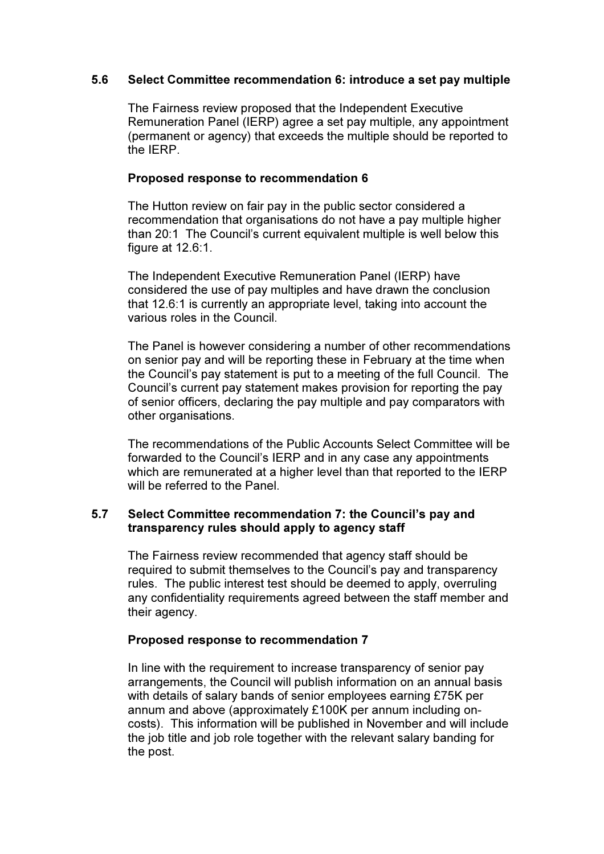### 5.6 Select Committee recommendation 6: introduce a set pay multiple

The Fairness review proposed that the Independent Executive Remuneration Panel (IERP) agree a set pay multiple, any appointment (permanent or agency) that exceeds the multiple should be reported to the IERP.

### Proposed response to recommendation 6

The Hutton review on fair pay in the public sector considered a recommendation that organisations do not have a pay multiple higher than 20:1 The Council's current equivalent multiple is well below this figure at 12.6:1.

The Independent Executive Remuneration Panel (IERP) have considered the use of pay multiples and have drawn the conclusion that 12.6:1 is currently an appropriate level, taking into account the various roles in the Council.

The Panel is however considering a number of other recommendations on senior pay and will be reporting these in February at the time when the Council's pay statement is put to a meeting of the full Council. The Council's current pay statement makes provision for reporting the pay of senior officers, declaring the pay multiple and pay comparators with other organisations.

The recommendations of the Public Accounts Select Committee will be forwarded to the Council's IERP and in any case any appointments which are remunerated at a higher level than that reported to the IERP will be referred to the Panel.

### 5.7 Select Committee recommendation 7: the Council's pay and transparency rules should apply to agency staff

The Fairness review recommended that agency staff should be required to submit themselves to the Council's pay and transparency rules. The public interest test should be deemed to apply, overruling any confidentiality requirements agreed between the staff member and their agency.

### Proposed response to recommendation 7

In line with the requirement to increase transparency of senior pay arrangements, the Council will publish information on an annual basis with details of salary bands of senior employees earning £75K per annum and above (approximately £100K per annum including oncosts). This information will be published in November and will include the job title and job role together with the relevant salary banding for the post.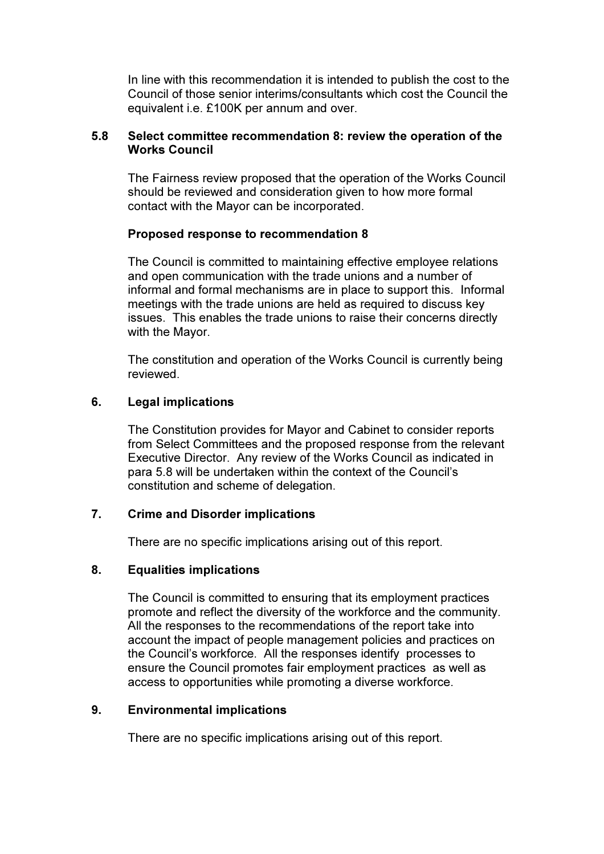In line with this recommendation it is intended to publish the cost to the Council of those senior interims/consultants which cost the Council the equivalent i.e. £100K per annum and over.

### 5.8 Select committee recommendation 8: review the operation of the Works Council

The Fairness review proposed that the operation of the Works Council should be reviewed and consideration given to how more formal contact with the Mayor can be incorporated.

### Proposed response to recommendation 8

The Council is committed to maintaining effective employee relations and open communication with the trade unions and a number of informal and formal mechanisms are in place to support this. Informal meetings with the trade unions are held as required to discuss key issues. This enables the trade unions to raise their concerns directly with the Mayor.

The constitution and operation of the Works Council is currently being reviewed.

# 6. Legal implications

The Constitution provides for Mayor and Cabinet to consider reports from Select Committees and the proposed response from the relevant Executive Director. Any review of the Works Council as indicated in para 5.8 will be undertaken within the context of the Council's constitution and scheme of delegation.

### 7. Crime and Disorder implications

There are no specific implications arising out of this report.

### 8. Equalities implications

The Council is committed to ensuring that its employment practices promote and reflect the diversity of the workforce and the community. All the responses to the recommendations of the report take into account the impact of people management policies and practices on the Council's workforce. All the responses identify processes to ensure the Council promotes fair employment practices as well as access to opportunities while promoting a diverse workforce.

### 9. Environmental implications

There are no specific implications arising out of this report.